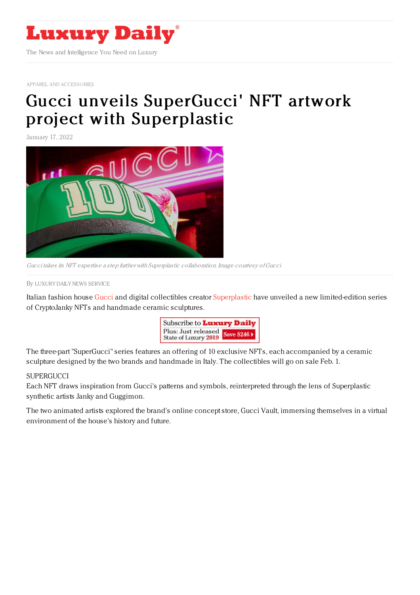

APPAREL AND [ACCESSORIES](https://www.luxurydaily.com/category/sectors/apparel-and-accessories/)

## Gucci unveils SuperGucci' NFT artwork project with [Superplastic](https://www.luxurydaily.com/supergucci-nft-superplastic/)

January 17, 2022



Gucci takes its NFT expertise <sup>a</sup> step further with Superplastic collaboration. Image courtesy ofGucci

By LUXURY DAILY NEWS [SERVICE](file:///author/luxury-daily-news-service)

Italian fashion house [Gucci](https://www.gucci.com/us/en/) and digital collectibles creator [Superplastic](https://superplastic.co/) have unveiled a new limited-edition series of CryptoJanky NFTs and handmade ceramic sculptures.



The three-part "SuperGucci" series features an offering of 10 exclusive NFTs, each accompanied by a ceramic sculpture designed by the two brands and handmade in Italy. The collectibles will go on sale Feb. 1.

## **SUPERGUCCI**

Each NFT draws inspiration from Gucci's patterns and symbols, reinterpreted through the lens of Superplastic synthetic artists Janky and Guggimon.

The two animated artists explored the brand's online concept store, Gucci Vault, immersing themselves in a virtual environment of the house's history and future.